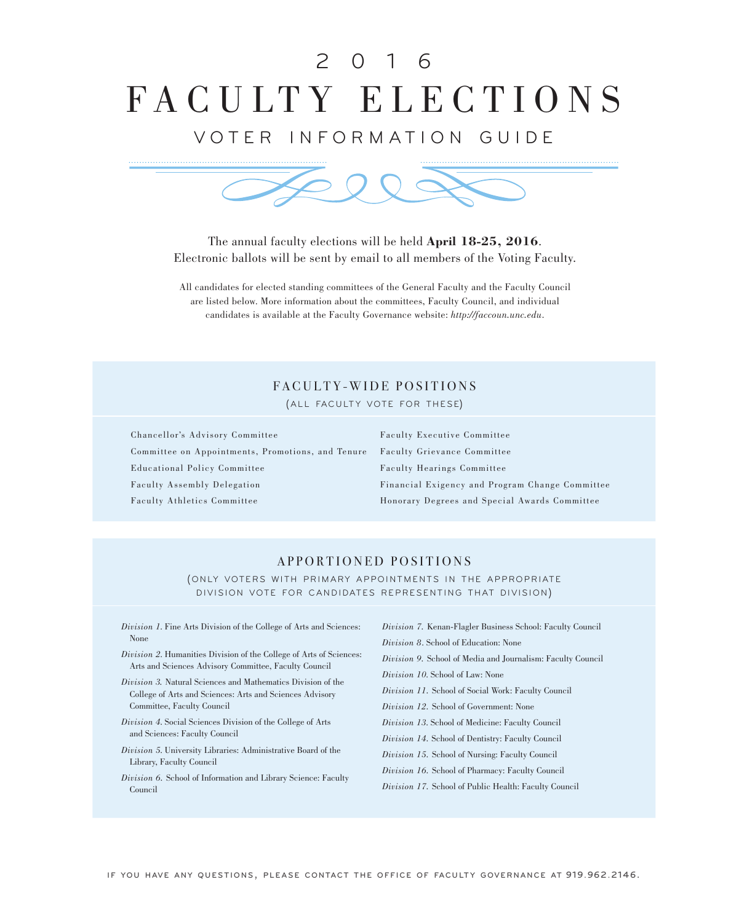# FACULTY ELECTIONS 2 0 1 6

# VOTER INFORMATION GUIDE



The annual faculty elections will be held **April 18-25, 2016**. Electronic ballots will be sent by email to all members of the Voting Faculty.

All candidates for elected standing committees of the General Faculty and the Faculty Council are listed below. More information about the committees, Faculty Council, and individual candidates is available at the Faculty Governance website: *http://faccoun.unc.edu*.

# FACULTY-WIDE POSITIONS

(ALL FACULTY VOTE FOR THESE)

Chancellor's Advisory Committee Committee on Appointments, Promotions, and Tenure Educational Policy Committee Faculty Assembly Delegation Faculty Athletics Committee

Faculty Executive Committee Faculty Grievance Committee Faculty Hearings Committee Financial Exigency and Program Change Committee Honorary Degrees and Special Awards Committee

# APPORTIONED POSITIONS

(ONLY VOTERS WITH PRIMARY APPOINTMENTS IN THE APPROPRIATE DIVISION VOTE FOR CANDIDATES REPRESENTING THAT DIVISION)

*Division 1*. Fine Arts Division of the College of Arts and Sciences: None

- *Division 2*. Humanities Division of the College of Arts of Sciences: Arts and Sciences Advisory Committee, Faculty Council
- *Division 3.* Natural Sciences and Mathematics Division of the College of Arts and Sciences: Arts and Sciences Advisory Committee, Faculty Council
- *Division 4*. Social Sciences Division of the College of Arts and Sciences: Faculty Council
- *Division 5*. University Libraries: Administrative Board of the Library, Faculty Council
- *Division 6.* School of Information and Library Science: Faculty Council

*Division 7.* Kenan-Flagler Business School: Faculty Council *Division 8*. School of Education: None *Division 9.* School of Media and Journalism: Faculty Council *Division 10*. School of Law: None *Division 11.* School of Social Work: Faculty Council *Division 12.* School of Government: None *Division 13*. School of Medicine: Faculty Council *Division 14.* School of Dentistry: Faculty Council *Division 15.* School of Nursing: Faculty Council *Division 16.* School of Pharmacy: Faculty Council

*Division 17.* School of Public Health: Faculty Council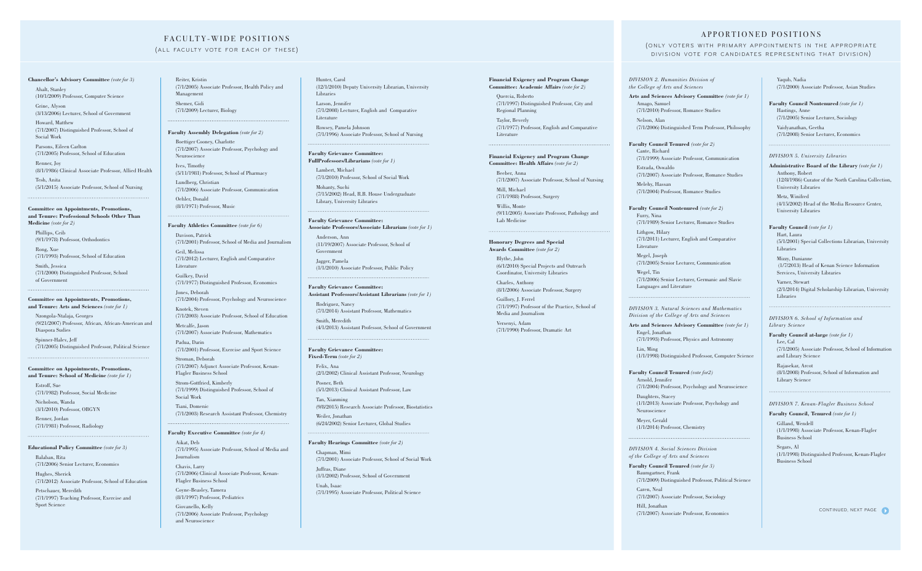### **Chancellor's Advisory Committee** *(vote for 3)*

Ahalt, Stanley (10/1/2009) Professor, Computer Science

Grine, Alyson (3/13/2006) Lecturer, School of Government

Howard, Matthew (7/1/2007) Distinguished Professor, School of Social Work

Parsons, Eileen Carlton (7/1/2005) Professor, School of Education

Renner, Joy (8/1/1986) Clinical Associate Professor, Allied Health

Tesh, Anita (5/1/2015) Associate Professor, School of Nursing

### **Committee on Appointments, Promotions, and Tenure: Professional Schools Other Than**

**Medicine** *(vote for 2)*

Phillips, Ceib (9/1/1978) Professor, Orthodontics

Rong, Xue (7/1/1993) Professor, School of Education

Smith, Jessica (7/1/2000) Distinguished Professor, School of Government

### **Committee on Appointments, Promotions, and Tenure: Arts and Sciences** *(vote for 1)*

Nzongola-Ntalaja, Georges (9/21/2007) Professor, African, African-American and Diaspora Sudies

Spinner-Halev, Jeff (7/1/2005) Distinguished Professor, Political Science

### **Committee on Appointments, Promotions,**

**and Tenure: School of Medicine** *(vote for 1)* Estroff, Sue (7/1/1982) Professor, Social Medicine

Nicholson, Wanda (3/1/2010) Professor, OBGYN

Renner, Jordan (7/1/1981) Professor, Radiology

### **Educational Policy Committee** *(vote for 3)*

Balaban, Rita (7/1/2006) Senior Lecturer, Economics Hughes, Sherick (7/1/2012) Associate Professor, School of Education

Petschauer, Meredith (7/1/1997) Teaching Professor, Exercise and Sport Science

# FACULTY-WIDE POSITIONS

### (ALL FACULTY VOTE FOR EACH OF THESE)

### **Financial Exigency and Program Change Committee: Academic Affairs** *(vote for 2)*

Quercia, Roberto (7/1/1997) Distinguished Professor, City and Regional Planning

Taylor, Beverly (7/1/1977) Professor, English and Comparative Literature

# **Financial Exigency and Program Change Committee: Health Affairs** *(vote for 2)*

### Beeber, Anna

(7/1/2007) Associate Professor, School of Nursing Mill, Michael

(7/1/1988) Professor, Surgery

Willis, Monte (9/11/2005) Associate Professor, Pathology and Lab Medicine

# **Honorary Degrees and Special Awards Committee** *(vote for 2)*

Blythe, John (6/1/2010) Special Projects and Outreach Coordinator, University Libraries

Charles, Anthony (8/1/2006) Associate Professor, Surgery

Guillory, J. Ferrel (7/1/1997) Professor of the Practice, School of Media and Journalism

Versenyi, Adam (7/1/1990) Professor, Dramatic Art

Reiter, Kristin (7/1/2005) Associate Professor, Health Policy and Management Shemer, Gidi

(7/1/2009) Lecturer, Biology

### **Faculty Assembly Delegation** *(vote for 2)*

Boettiger Cooney, Charlotte (7/1/2007) Associate Professor, Psychology and Neuroscience

Ives, Timothy (5/11/1981) Professor, School of Pharmacy

Lundberg, Christian (7/1/2006) Associate Professor, Communication Oehler, Donald (8/1/1971) Professor, Music

### **Faculty Athletics Committee** *(vote for 6)*

Davison, Patrick (7/1/2001) Professor, School of Media and Journalism Geil, Melissa

(7/1/2012) Lecturer, English and Comparative Literature

Guilkey, David (7/1/1977) Distinguished Professor, Economics

Jones, Deborah (7/1/2004) Professor, Psychology and Neuroscience

Knotek, Steven (7/1/2003) Associate Professor, School of Education

Metcalfe, Jason (7/1/2007) Associate Professor, Mathematics

Padua, Darin (7/1/2001) Professor, Exercise and Sport Science

Stroman, Deborah (7/1/2007) Adjunct Associate Professor, Kenan-Flagler Business School

Strom-Gottfried, Kimberly (7/1/1999) Distinguished Professor, School of Social Work

Tiani, Domenic (7/1/2003) Research Assistant Professor, Chemistry

### **Faculty Executive Committee** *(vote for 4)*

Aikat, Deb (7/1/1995) Associate Professor, School of Media and Journalism Chavis, Larry (7/1/2006) Clinical Associate Professor, Kenan-Flagler Business School

Coyne-Beasley, Tamera (8/1/1997) Professor, Pediatrics

Giovanello, Kelly (7/1/2006) Associate Professor, Psychology and Neuroscience

Hunter, Carol (12/1/2010) Deputy University Librarian, University Libraries

Larson, Jennifer (7/1/2008) Lecturer, English and Comparative Literature

Rowsey, Pamela Johnson (7/1/1996) Associate Professor, School of Nursing

### **Faculty Grievance Committee: FullProfessors/Librarians** *(vote for 1)*

Lambert, Michael (7/1/2010) Professor, School of Social Work

Mohanty, Suchi (7/15/2002) Head, R.B. House Undergraduate Library, University Libraries

### **Faculty Grievance Committee: Associate Professors/Associate Librarians** *(vote for 1)*

Anderson, Ann (11/19/2007) Associate Professor, School of Government Jagger, Pamela (1/1/2010) Associate Professor, Public Policy

### **Faculty Grievance Committee:**

**Assistant Professors/Assistant Librarians** *(vote for 1)*

Rodriguez, Nancy (7/1/2014) Assistant Professor, Mathematics

Smith, Meredith (4/1/2013) Assistant Professor, School of Government

### **Faculty Grievance Committee:**

**Fixed-Term** *(vote for 2)* Felix, Ana (2/1/2002) Clinical Assistant Professor, Neurology

Posner, Beth

(5/1/2013) Clinical Assistant Professor, Law

Tan, Xianming (9/8/2015) Research Associate Professor, Biostatistics

Weiler, Jonathan (6/24/2002) Senior Lecturer, Global Studies

**Faculty Hearings Committee** *(vote for 2)* Chapman, Mimi (7/1/2001) Associate Professor, School of Social Work Juffras, Diane

(1/1/2002) Professor, School of Government

Unah, Isaac (7/1/1995) Associate Professor, Political Science

# APPORTIONED POSITIONS

### (ONLY VOTERS WITH PRIMARY APPOINTMENTS IN THE APPROPRIATE DIVISION VOTE FOR CANDIDATES REPRESENTING THAT DIVISION)

*DIVISION 2. Humanities Division of the College of Arts and Sciences*

**Arts and Sciences Advisory Committee** *(vote for 1)* Amago, Samuel (7/1/2010) Professor, Romance Studies Nelson, Alan (7/1/2006) Distinguished Term Professor, Philosophy

**Faculty Council Tenured** *(vote for 2)* Cante, Richard (7/1/1999) Associate Professor, Communication Estrada, Oswaldo

(7/1/2007) Associate Professor, Romance Studies Melehy, Hassan

(7/1/2004) Professor, Romance Studies

# **Faculty Council Nontenured** *(vote for 2)* Furry, Nina

(7/1/1989) Senior Lecturer, Romance Studies Lithgow, Hilary

(7/1/2011) Lecturer, English and Comparative Literature

Megel, Joseph (7/1/2005) Senior Lecturer, Communication

Wegel, Tin (7/1/2006) Senior Lecturer, Germanic and Slavic Languages and Literature

*DIVISION 3. Natural Sciences and Mathematics Division of the College of Arts and Sciences*

**Arts and Sciences Advisory Committee** *(vote for 1)* Engel, Jonathan (7/1/1993) Professor, Physics and Astronomy

Lin, Ming (1/1/1998) Distinguished Professor, Computer Science

**Faculty Council Tenured** *(vote for2)* Arnold, Jennifer (7/1/2004) Professor, Psychology and Neuroscience

Daughters, Stacey (1/1/2013) Associate Professor, Psychology and Neuroscience

Meyer, Gerald (1/1/2014) Professor, Chemistry

*DIVISION 4. Social Sciences Division of the College of Arts and Sciences* 

**Faculty Council Tenured** *(vote for 3)* Baumgartner, Frank (7/1/2009) Distinguished Professor, Political Science

Caren, Neal (7/1/2007) Associate Professor, Sociology

Hill, Jonathan (7/1/2007) Associate Professor, Economics Yaqub, Nadia (7/1/2000) Associate Professor, Asian Studies

**Faculty Council Nontenured** *(vote for 1)* Hastings, Anne (7/1/2005) Senior Lecturer, Sociology Vaidyanathan, Geetha

(7/1/2008) Senior Lecturer, Economics

### *DIVISION 5. University Libraries*

**Administrative Board of the Library** *(vote for 1)* Anthony, Robert (12/8/1986) Curator of the North Carolina Collection, University Libraries

Metz, Winifred (4/15/2002) Head of the Media Resource Center, University Libraries

**Faculty Council** *(vote for 1)* Hart, Laura (5/1/2001) Special Collections Librarian, University Libraries

Mizzy, Danianne (1/7/2013) Head of Kenan Science Information Services, University Libraries

Varner, Stewart (2/1/2014) Digital Scholarship Librarian, University Libraries

*DIVISION 6. School of Information and Library Science*

**Faculty Council at-large** *(vote for 1)* Lee, Cal (7/1/2005) Associate Professor, School of Information and Library Science

Rajasekar, Arcot (8/1/2008) Professor, School of Information and Library Science

### *DIVISION 7. Kenan-Flagler Business School*

**Faculty Council, Tenured** *(vote for 1)* Gilland, Wendell (1/1/1998) Associate Professor, Kenan-Flagler Business School

Segars, Al (1/1/1998) Distinguished Professor, Kenan-Flagler Business School